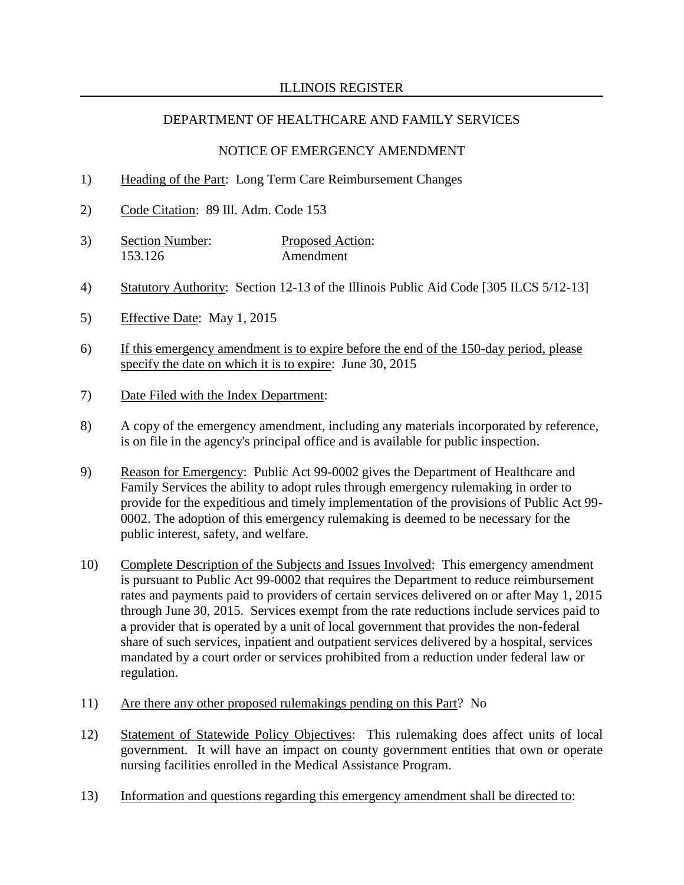### NOTICE OF EMERGENCY AMENDMENT

- 1) Heading of the Part: Long Term Care Reimbursement Changes
- 2) Code Citation: 89 Ill. Adm. Code 153
- 3) Section Number: Proposed Action: 153.126 Amendment
- 4) Statutory Authority: Section 12-13 of the Illinois Public Aid Code [305 ILCS 5/12-13]
- 5) Effective Date: May 1, 2015
- 6) If this emergency amendment is to expire before the end of the 150-day period, please specify the date on which it is to expire: June 30, 2015
- 7) Date Filed with the Index Department:
- 8) A copy of the emergency amendment, including any materials incorporated by reference, is on file in the agency's principal office and is available for public inspection.
- 9) Reason for Emergency: Public Act 99-0002 gives the Department of Healthcare and Family Services the ability to adopt rules through emergency rulemaking in order to provide for the expeditious and timely implementation of the provisions of Public Act 99- 0002. The adoption of this emergency rulemaking is deemed to be necessary for the public interest, safety, and welfare.
- 10) Complete Description of the Subjects and Issues Involved: This emergency amendment is pursuant to Public Act 99-0002 that requires the Department to reduce reimbursement rates and payments paid to providers of certain services delivered on or after May 1, 2015 through June 30, 2015. Services exempt from the rate reductions include services paid to a provider that is operated by a unit of local government that provides the non-federal share of such services, inpatient and outpatient services delivered by a hospital, services mandated by a court order or services prohibited from a reduction under federal law or regulation.
- 11) Are there any other proposed rulemakings pending on this Part? No
- 12) Statement of Statewide Policy Objectives: This rulemaking does affect units of local government. It will have an impact on county government entities that own or operate nursing facilities enrolled in the Medical Assistance Program.
- 13) Information and questions regarding this emergency amendment shall be directed to: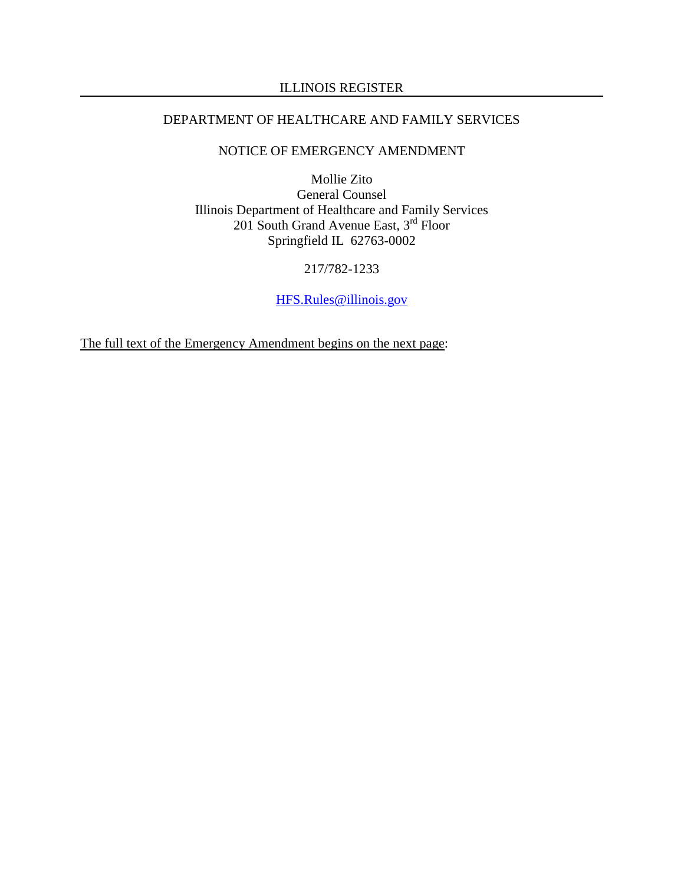# ILLINOIS REGISTER

# DEPARTMENT OF HEALTHCARE AND FAMILY SERVICES

# NOTICE OF EMERGENCY AMENDMENT

Mollie Zito General Counsel Illinois Department of Healthcare and Family Services 201 South Grand Avenue East, 3<sup>rd</sup> Floor Springfield IL 62763-0002

### 217/782-1233

[HFS.Rules@illinois.gov](mailto:HFS.Rules@illinois.gov)

The full text of the Emergency Amendment begins on the next page: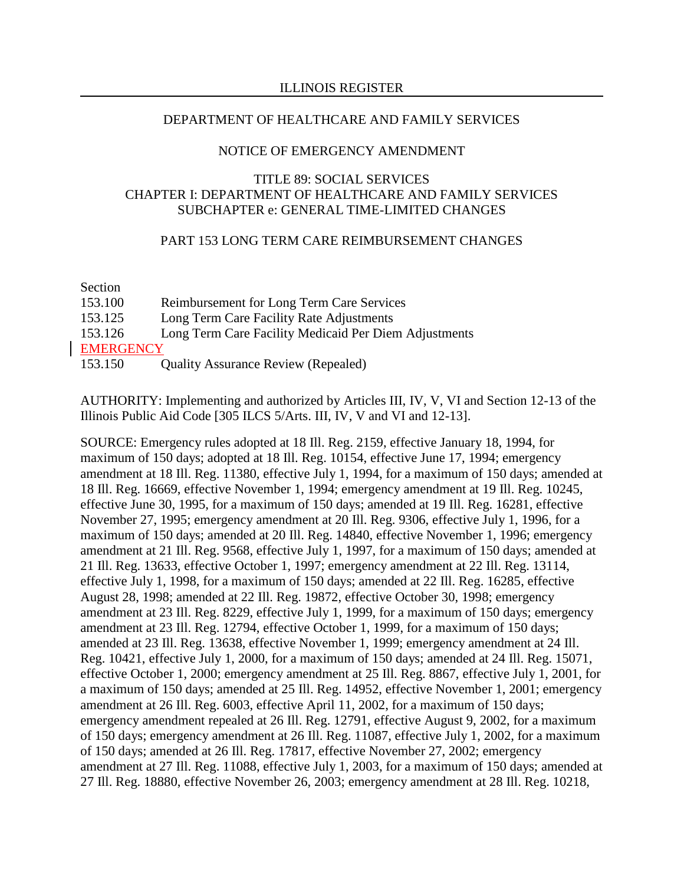#### NOTICE OF EMERGENCY AMENDMENT

# TITLE 89: SOCIAL SERVICES CHAPTER I: DEPARTMENT OF HEALTHCARE AND FAMILY SERVICES SUBCHAPTER e: GENERAL TIME-LIMITED CHANGES

### PART 153 LONG TERM CARE REIMBURSEMENT CHANGES

| Section          |                                                       |
|------------------|-------------------------------------------------------|
| 153.100          | Reimbursement for Long Term Care Services             |
| 153.125          | Long Term Care Facility Rate Adjustments              |
| 153.126          | Long Term Care Facility Medicaid Per Diem Adjustments |
| <b>EMERGENCY</b> |                                                       |
| 153.150          | <b>Quality Assurance Review (Repealed)</b>            |

AUTHORITY: Implementing and authorized by Articles III, IV, V, VI and Section 12-13 of the Illinois Public Aid Code [305 ILCS 5/Arts. III, IV, V and VI and 12-13].

SOURCE: Emergency rules adopted at 18 Ill. Reg. 2159, effective January 18, 1994, for maximum of 150 days; adopted at 18 Ill. Reg. 10154, effective June 17, 1994; emergency amendment at 18 Ill. Reg. 11380, effective July 1, 1994, for a maximum of 150 days; amended at 18 Ill. Reg. 16669, effective November 1, 1994; emergency amendment at 19 Ill. Reg. 10245, effective June 30, 1995, for a maximum of 150 days; amended at 19 Ill. Reg. 16281, effective November 27, 1995; emergency amendment at 20 Ill. Reg. 9306, effective July 1, 1996, for a maximum of 150 days; amended at 20 Ill. Reg. 14840, effective November 1, 1996; emergency amendment at 21 Ill. Reg. 9568, effective July 1, 1997, for a maximum of 150 days; amended at 21 Ill. Reg. 13633, effective October 1, 1997; emergency amendment at 22 Ill. Reg. 13114, effective July 1, 1998, for a maximum of 150 days; amended at 22 Ill. Reg. 16285, effective August 28, 1998; amended at 22 Ill. Reg. 19872, effective October 30, 1998; emergency amendment at 23 Ill. Reg. 8229, effective July 1, 1999, for a maximum of 150 days; emergency amendment at 23 Ill. Reg. 12794, effective October 1, 1999, for a maximum of 150 days; amended at 23 Ill. Reg. 13638, effective November 1, 1999; emergency amendment at 24 Ill. Reg. 10421, effective July 1, 2000, for a maximum of 150 days; amended at 24 Ill. Reg. 15071, effective October 1, 2000; emergency amendment at 25 Ill. Reg. 8867, effective July 1, 2001, for a maximum of 150 days; amended at 25 Ill. Reg. 14952, effective November 1, 2001; emergency amendment at 26 Ill. Reg. 6003, effective April 11, 2002, for a maximum of 150 days; emergency amendment repealed at 26 Ill. Reg. 12791, effective August 9, 2002, for a maximum of 150 days; emergency amendment at 26 Ill. Reg. 11087, effective July 1, 2002, for a maximum of 150 days; amended at 26 Ill. Reg. 17817, effective November 27, 2002; emergency amendment at 27 Ill. Reg. 11088, effective July 1, 2003, for a maximum of 150 days; amended at 27 Ill. Reg. 18880, effective November 26, 2003; emergency amendment at 28 Ill. Reg. 10218,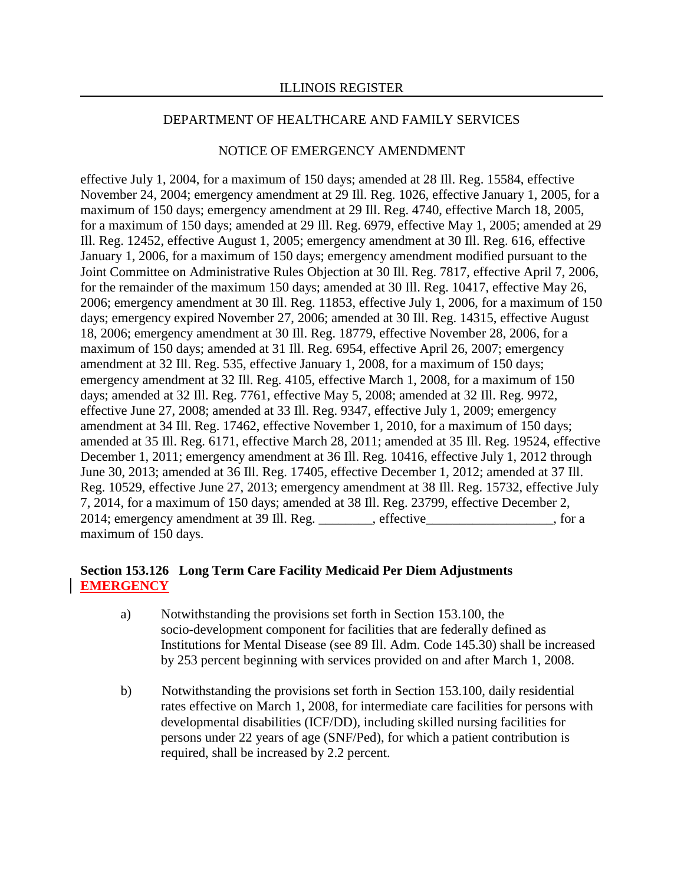#### NOTICE OF EMERGENCY AMENDMENT

effective July 1, 2004, for a maximum of 150 days; amended at 28 Ill. Reg. 15584, effective November 24, 2004; emergency amendment at 29 Ill. Reg. 1026, effective January 1, 2005, for a maximum of 150 days; emergency amendment at 29 Ill. Reg. 4740, effective March 18, 2005, for a maximum of 150 days; amended at 29 Ill. Reg. 6979, effective May 1, 2005; amended at 29 Ill. Reg. 12452, effective August 1, 2005; emergency amendment at 30 Ill. Reg. 616, effective January 1, 2006, for a maximum of 150 days; emergency amendment modified pursuant to the Joint Committee on Administrative Rules Objection at 30 Ill. Reg. 7817, effective April 7, 2006, for the remainder of the maximum 150 days; amended at 30 Ill. Reg. 10417, effective May 26, 2006; emergency amendment at 30 Ill. Reg. 11853, effective July 1, 2006, for a maximum of 150 days; emergency expired November 27, 2006; amended at 30 Ill. Reg. 14315, effective August 18, 2006; emergency amendment at 30 Ill. Reg. 18779, effective November 28, 2006, for a maximum of 150 days; amended at 31 Ill. Reg. 6954, effective April 26, 2007; emergency amendment at 32 Ill. Reg. 535, effective January 1, 2008, for a maximum of 150 days; emergency amendment at 32 Ill. Reg. 4105, effective March 1, 2008, for a maximum of 150 days; amended at 32 Ill. Reg. 7761, effective May 5, 2008; amended at 32 Ill. Reg. 9972, effective June 27, 2008; amended at 33 Ill. Reg. 9347, effective July 1, 2009; emergency amendment at 34 Ill. Reg. 17462, effective November 1, 2010, for a maximum of 150 days; amended at 35 Ill. Reg. 6171, effective March 28, 2011; amended at 35 Ill. Reg. 19524, effective December 1, 2011; emergency amendment at 36 Ill. Reg. 10416, effective July 1, 2012 through June 30, 2013; amended at 36 Ill. Reg. 17405, effective December 1, 2012; amended at 37 Ill. Reg. 10529, effective June 27, 2013; emergency amendment at 38 Ill. Reg. 15732, effective July 7, 2014, for a maximum of 150 days; amended at 38 Ill. Reg. 23799, effective December 2, 2014; emergency amendment at 39 Ill. Reg. effective entitled at  $\overline{29}$  effective contact  $\overline{29}$  and  $\overline{29}$ maximum of 150 days.

#### **Section 153.126 Long Term Care Facility Medicaid Per Diem Adjustments EMERGENCY**

- a) Notwithstanding the provisions set forth in Section 153.100, the socio-development component for facilities that are federally defined as Institutions for Mental Disease (see 89 Ill. Adm. Code 145.30) shall be increased by 253 percent beginning with services provided on and after March 1, 2008.
- b) Notwithstanding the provisions set forth in Section 153.100, daily residential rates effective on March 1, 2008, for intermediate care facilities for persons with developmental disabilities (ICF/DD), including skilled nursing facilities for persons under 22 years of age (SNF/Ped), for which a patient contribution is required, shall be increased by 2.2 percent.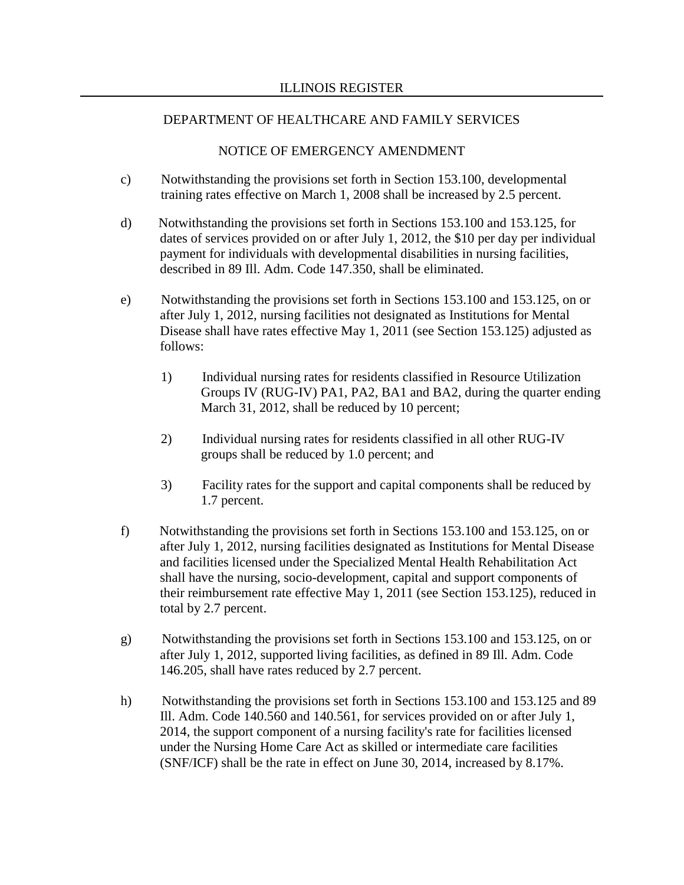# NOTICE OF EMERGENCY AMENDMENT

- c) Notwithstanding the provisions set forth in Section 153.100, developmental training rates effective on March 1, 2008 shall be increased by 2.5 percent.
- d) Notwithstanding the provisions set forth in Sections 153.100 and 153.125, for dates of services provided on or after July 1, 2012, the \$10 per day per individual payment for individuals with developmental disabilities in nursing facilities, described in 89 Ill. Adm. Code 147.350, shall be eliminated.
- e) Notwithstanding the provisions set forth in Sections 153.100 and 153.125, on or after July 1, 2012, nursing facilities not designated as Institutions for Mental Disease shall have rates effective May 1, 2011 (see Section 153.125) adjusted as follows:
	- 1) Individual nursing rates for residents classified in Resource Utilization Groups IV (RUG-IV) PA1, PA2, BA1 and BA2, during the quarter ending March 31, 2012, shall be reduced by 10 percent;
	- 2) Individual nursing rates for residents classified in all other RUG-IV groups shall be reduced by 1.0 percent; and
	- 3) Facility rates for the support and capital components shall be reduced by 1.7 percent.
- f) Notwithstanding the provisions set forth in Sections 153.100 and 153.125, on or after July 1, 2012, nursing facilities designated as Institutions for Mental Disease and facilities licensed under the Specialized Mental Health Rehabilitation Act shall have the nursing, socio-development, capital and support components of their reimbursement rate effective May 1, 2011 (see Section 153.125), reduced in total by 2.7 percent.
- g) Notwithstanding the provisions set forth in Sections 153.100 and 153.125, on or after July 1, 2012, supported living facilities, as defined in 89 Ill. Adm. Code 146.205, shall have rates reduced by 2.7 percent.
- h) Notwithstanding the provisions set forth in Sections 153.100 and 153.125 and 89 Ill. Adm. Code 140.560 and 140.561, for services provided on or after July 1, 2014, the support component of a nursing facility's rate for facilities licensed under the Nursing Home Care Act as skilled or intermediate care facilities (SNF/ICF) shall be the rate in effect on June 30, 2014, increased by 8.17%.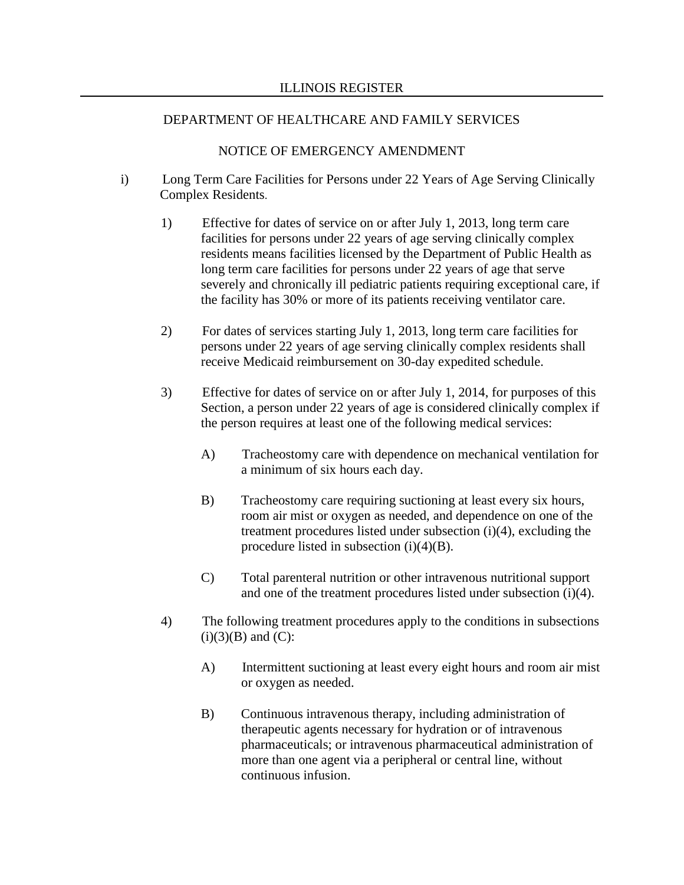### NOTICE OF EMERGENCY AMENDMENT

- i) Long Term Care Facilities for Persons under 22 Years of Age Serving Clinically Complex Residents.
	- 1) Effective for dates of service on or after July 1, 2013, long term care facilities for persons under 22 years of age serving clinically complex residents means facilities licensed by the Department of Public Health as long term care facilities for persons under 22 years of age that serve severely and chronically ill pediatric patients requiring exceptional care, if the facility has 30% or more of its patients receiving ventilator care.
	- 2) For dates of services starting July 1, 2013, long term care facilities for persons under 22 years of age serving clinically complex residents shall receive Medicaid reimbursement on 30-day expedited schedule.
	- 3) Effective for dates of service on or after July 1, 2014, for purposes of this Section, a person under 22 years of age is considered clinically complex if the person requires at least one of the following medical services:
		- A) Tracheostomy care with dependence on mechanical ventilation for a minimum of six hours each day.
		- B) Tracheostomy care requiring suctioning at least every six hours, room air mist or oxygen as needed, and dependence on one of the treatment procedures listed under subsection (i)(4), excluding the procedure listed in subsection (i)(4)(B).
		- C) Total parenteral nutrition or other intravenous nutritional support and one of the treatment procedures listed under subsection (i)(4).
	- 4) The following treatment procedures apply to the conditions in subsections  $(i)(3)(B)$  and  $(C)$ :
		- A) Intermittent suctioning at least every eight hours and room air mist or oxygen as needed.
		- B) Continuous intravenous therapy, including administration of therapeutic agents necessary for hydration or of intravenous pharmaceuticals; or intravenous pharmaceutical administration of more than one agent via a peripheral or central line, without continuous infusion.